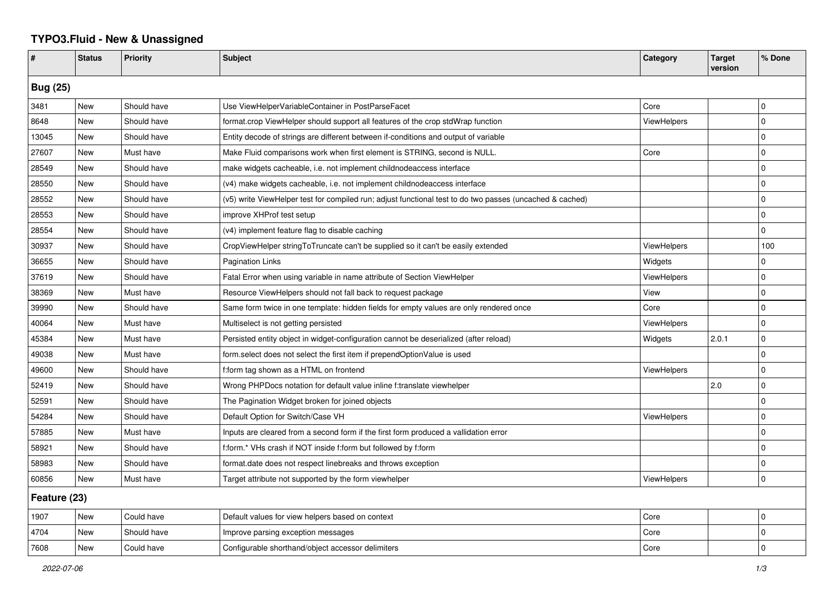## **TYPO3.Fluid - New & Unassigned**

| #               | <b>Status</b> | <b>Priority</b> | <b>Subject</b>                                                                                           | Category           | <b>Target</b><br>version | % Done      |  |  |
|-----------------|---------------|-----------------|----------------------------------------------------------------------------------------------------------|--------------------|--------------------------|-------------|--|--|
| <b>Bug (25)</b> |               |                 |                                                                                                          |                    |                          |             |  |  |
| 3481            | <b>New</b>    | Should have     | Use ViewHelperVariableContainer in PostParseFacet                                                        | Core               |                          | $\mathbf 0$ |  |  |
| 8648            | New           | Should have     | format.crop ViewHelper should support all features of the crop stdWrap function                          | <b>ViewHelpers</b> |                          | $\Omega$    |  |  |
| 13045           | New           | Should have     | Entity decode of strings are different between if-conditions and output of variable                      |                    |                          | $\mathbf 0$ |  |  |
| 27607           | New           | Must have       | Make Fluid comparisons work when first element is STRING, second is NULL.                                | Core               |                          | $\mathbf 0$ |  |  |
| 28549           | <b>New</b>    | Should have     | make widgets cacheable, i.e. not implement childnodeaccess interface                                     |                    |                          | $\mathbf 0$ |  |  |
| 28550           | <b>New</b>    | Should have     | (v4) make widgets cacheable, i.e. not implement childnodeaccess interface                                |                    |                          | l 0         |  |  |
| 28552           | New           | Should have     | (v5) write ViewHelper test for compiled run; adjust functional test to do two passes (uncached & cached) |                    |                          | $\mathbf 0$ |  |  |
| 28553           | New           | Should have     | improve XHProf test setup                                                                                |                    |                          | $\mathbf 0$ |  |  |
| 28554           | <b>New</b>    | Should have     | (v4) implement feature flag to disable caching                                                           |                    |                          | $\Omega$    |  |  |
| 30937           | <b>New</b>    | Should have     | CropViewHelper stringToTruncate can't be supplied so it can't be easily extended                         | <b>ViewHelpers</b> |                          | 100         |  |  |
| 36655           | <b>New</b>    | Should have     | <b>Pagination Links</b>                                                                                  | Widgets            |                          | $\Omega$    |  |  |
| 37619           | New           | Should have     | Fatal Error when using variable in name attribute of Section ViewHelper                                  | <b>ViewHelpers</b> |                          | $\Omega$    |  |  |
| 38369           | New           | Must have       | Resource ViewHelpers should not fall back to request package                                             | View               |                          | $\mathbf 0$ |  |  |
| 39990           | New           | Should have     | Same form twice in one template: hidden fields for empty values are only rendered once                   | Core               |                          | $\mathbf 0$ |  |  |
| 40064           | New           | Must have       | Multiselect is not getting persisted                                                                     | ViewHelpers        |                          | $\mathbf 0$ |  |  |
| 45384           | <b>New</b>    | Must have       | Persisted entity object in widget-configuration cannot be deserialized (after reload)                    | Widgets            | 2.0.1                    | $\mathbf 0$ |  |  |
| 49038           | New           | Must have       | form select does not select the first item if prependOptionValue is used                                 |                    |                          | $\Omega$    |  |  |
| 49600           | <b>New</b>    | Should have     | f:form tag shown as a HTML on frontend                                                                   | ViewHelpers        |                          | $\Omega$    |  |  |
| 52419           | New           | Should have     | Wrong PHPDocs notation for default value inline f:translate viewhelper                                   |                    | 2.0                      | $\Omega$    |  |  |
| 52591           | New           | Should have     | The Pagination Widget broken for joined objects                                                          |                    |                          | $\Omega$    |  |  |
| 54284           | New           | Should have     | Default Option for Switch/Case VH                                                                        | ViewHelpers        |                          | $\mathbf 0$ |  |  |
| 57885           | New           | Must have       | Inputs are cleared from a second form if the first form produced a vallidation error                     |                    |                          | $\mathbf 0$ |  |  |
| 58921           | <b>New</b>    | Should have     | f:form.* VHs crash if NOT inside f:form but followed by f:form                                           |                    |                          | $\mathbf 0$ |  |  |
| 58983           | New           | Should have     | format.date does not respect linebreaks and throws exception                                             |                    |                          | $\mathbf 0$ |  |  |
| 60856           | New           | Must have       | Target attribute not supported by the form viewhelper                                                    | ViewHelpers        |                          | $\mathbf 0$ |  |  |
| Feature (23)    |               |                 |                                                                                                          |                    |                          |             |  |  |
| 1907            | New           | Could have      | Default values for view helpers based on context                                                         | Core               |                          | $\mathbf 0$ |  |  |
| 4704            | New           | Should have     | Improve parsing exception messages                                                                       | Core               |                          | $\mathbf 0$ |  |  |
| 7608            | New           | Could have      | Configurable shorthand/object accessor delimiters                                                        | Core               |                          | $\Omega$    |  |  |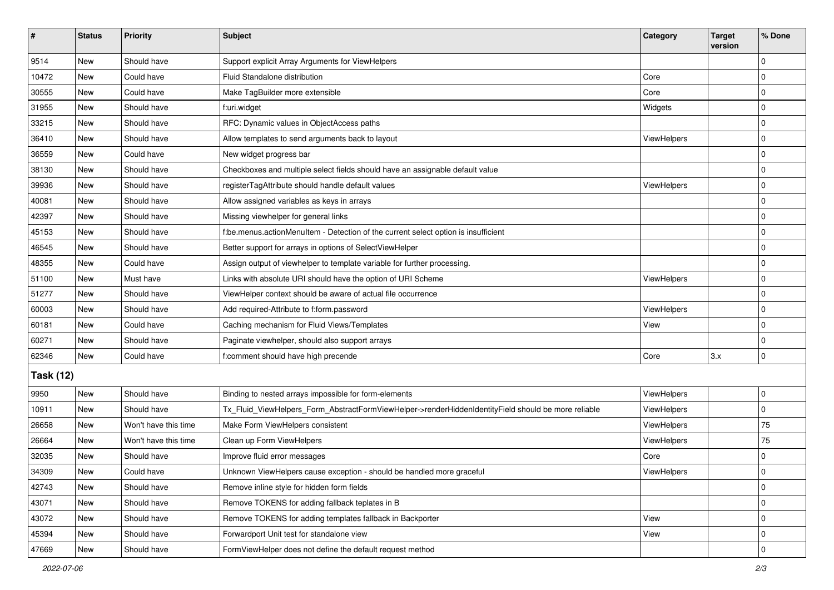| $\vert$ #        | <b>Status</b> | Priority             | Subject                                                                                             | Category           | <b>Target</b><br>version | % Done       |  |  |
|------------------|---------------|----------------------|-----------------------------------------------------------------------------------------------------|--------------------|--------------------------|--------------|--|--|
| 9514             | New           | Should have          | Support explicit Array Arguments for ViewHelpers                                                    |                    |                          | $\Omega$     |  |  |
| 10472            | New           | Could have           | Fluid Standalone distribution                                                                       | Core               |                          | 0            |  |  |
| 30555            | New           | Could have           | Make TagBuilder more extensible                                                                     | Core               |                          | $\Omega$     |  |  |
| 31955            | <b>New</b>    | Should have          | f:uri.widget                                                                                        | Widgets            |                          | 0            |  |  |
| 33215            | New           | Should have          | RFC: Dynamic values in ObjectAccess paths                                                           |                    |                          | 0            |  |  |
| 36410            | New           | Should have          | Allow templates to send arguments back to layout                                                    | <b>ViewHelpers</b> |                          | $\mathbf 0$  |  |  |
| 36559            | New           | Could have           | New widget progress bar                                                                             |                    |                          | 0            |  |  |
| 38130            | New           | Should have          | Checkboxes and multiple select fields should have an assignable default value                       |                    |                          | $\mathbf 0$  |  |  |
| 39936            | New           | Should have          | registerTagAttribute should handle default values                                                   | ViewHelpers        |                          | $\mathbf 0$  |  |  |
| 40081            | New           | Should have          | Allow assigned variables as keys in arrays                                                          |                    |                          | 0            |  |  |
| 42397            | New           | Should have          | Missing viewhelper for general links                                                                |                    |                          | $\Omega$     |  |  |
| 45153            | <b>New</b>    | Should have          | f:be.menus.actionMenuItem - Detection of the current select option is insufficient                  |                    |                          | $\mathbf 0$  |  |  |
| 46545            | New           | Should have          | Better support for arrays in options of SelectViewHelper                                            |                    |                          | $\mathbf 0$  |  |  |
| 48355            | <b>New</b>    | Could have           | Assign output of viewhelper to template variable for further processing.                            |                    |                          | $\mathbf 0$  |  |  |
| 51100            | New           | Must have            | Links with absolute URI should have the option of URI Scheme                                        | <b>ViewHelpers</b> |                          | 0            |  |  |
| 51277            | New           | Should have          | ViewHelper context should be aware of actual file occurrence                                        |                    |                          | $\Omega$     |  |  |
| 60003            | <b>New</b>    | Should have          | Add required-Attribute to f:form.password                                                           | <b>ViewHelpers</b> |                          | $\mathbf 0$  |  |  |
| 60181            | New           | Could have           | Caching mechanism for Fluid Views/Templates                                                         | View               |                          | $\mathbf 0$  |  |  |
| 60271            | New           | Should have          | Paginate viewhelper, should also support arrays                                                     |                    |                          | $\mathbf 0$  |  |  |
| 62346            | <b>New</b>    | Could have           | f:comment should have high precende                                                                 | Core               | 3.x                      | $\mathbf 0$  |  |  |
| <b>Task (12)</b> |               |                      |                                                                                                     |                    |                          |              |  |  |
| 9950             | New           | Should have          | Binding to nested arrays impossible for form-elements                                               | ViewHelpers        |                          | 0            |  |  |
| 10911            | <b>New</b>    | Should have          | Tx_Fluid_ViewHelpers_Form_AbstractFormViewHelper->renderHiddenIdentityField should be more reliable | ViewHelpers        |                          | 0            |  |  |
| 26658            | New           | Won't have this time | Make Form ViewHelpers consistent                                                                    | ViewHelpers        |                          | 75           |  |  |
| 26664            | <b>New</b>    | Won't have this time | Clean up Form ViewHelpers                                                                           | ViewHelpers        |                          | 75           |  |  |
| 32035            | New           | Should have          | Improve fluid error messages                                                                        | Core               |                          | 0            |  |  |
| 34309            | New           | Could have           | Unknown ViewHelpers cause exception - should be handled more graceful                               | ViewHelpers        |                          | 0            |  |  |
| 42743            | New           | Should have          | Remove inline style for hidden form fields                                                          |                    |                          | $\mathbf 0$  |  |  |
| 43071            | New           | Should have          | Remove TOKENS for adding fallback teplates in B                                                     |                    |                          | $\mathbf 0$  |  |  |
| 43072            | New           | Should have          | Remove TOKENS for adding templates fallback in Backporter                                           | View               |                          | $\mathbf 0$  |  |  |
| 45394            | New           | Should have          | Forwardport Unit test for standalone view                                                           | View               |                          | 0            |  |  |
| 47669            | New           | Should have          | FormViewHelper does not define the default request method                                           |                    |                          | $\mathbf{0}$ |  |  |